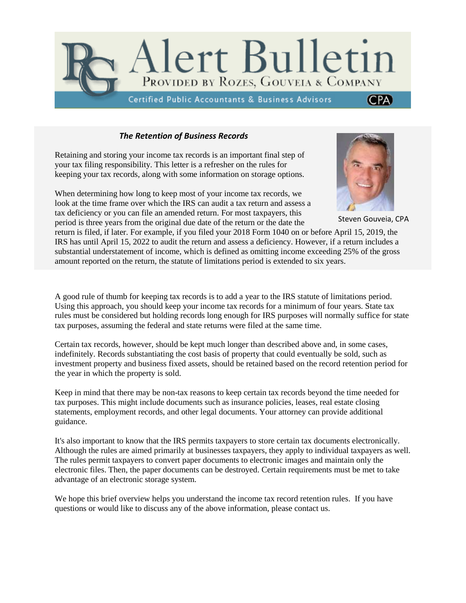

## *The Retention of Business Records*

Retaining and storing your income tax records is an important final step of your tax filing responsibility. This letter is a refresher on the rules for keeping your tax records, along with some information on storage options.

When determining how long to keep most of your income tax records, we look at the time frame over which the IRS can audit a tax return and assess a tax deficiency or you can file an amended return. For most taxpayers, this period is three years from the original due date of the return or the date the



Steven Gouveia, CPA

return is filed, if later. For example, if you filed your 2018 Form 1040 on or before April 15, 2019, the IRS has until April 15, 2022 to audit the return and assess a deficiency. However, if a return includes a substantial understatement of income, which is defined as omitting income exceeding 25% of the gross amount reported on the return, the statute of limitations period is extended to six years.

A good rule of thumb for keeping tax records is to add a year to the IRS statute of limitations period. Using this approach, you should keep your income tax records for a minimum of four years. State tax rules must be considered but holding records long enough for IRS purposes will normally suffice for state tax purposes, assuming the federal and state returns were filed at the same time.

Certain tax records, however, should be kept much longer than described above and, in some cases, indefinitely. Records substantiating the cost basis of property that could eventually be sold, such as investment property and business fixed assets, should be retained based on the record retention period for the year in which the property is sold.

Keep in mind that there may be non-tax reasons to keep certain tax records beyond the time needed for tax purposes. This might include documents such as insurance policies, leases, real estate closing statements, employment records, and other legal documents. Your attorney can provide additional guidance.

It's also important to know that the IRS permits taxpayers to store certain tax documents electronically. Although the rules are aimed primarily at businesses taxpayers, they apply to individual taxpayers as well. The rules permit taxpayers to convert paper documents to electronic images and maintain only the electronic files. Then, the paper documents can be destroyed. Certain requirements must be met to take advantage of an electronic storage system.

We hope this brief overview helps you understand the income tax record retention rules. If you have questions or would like to discuss any of the above information, please contact us.